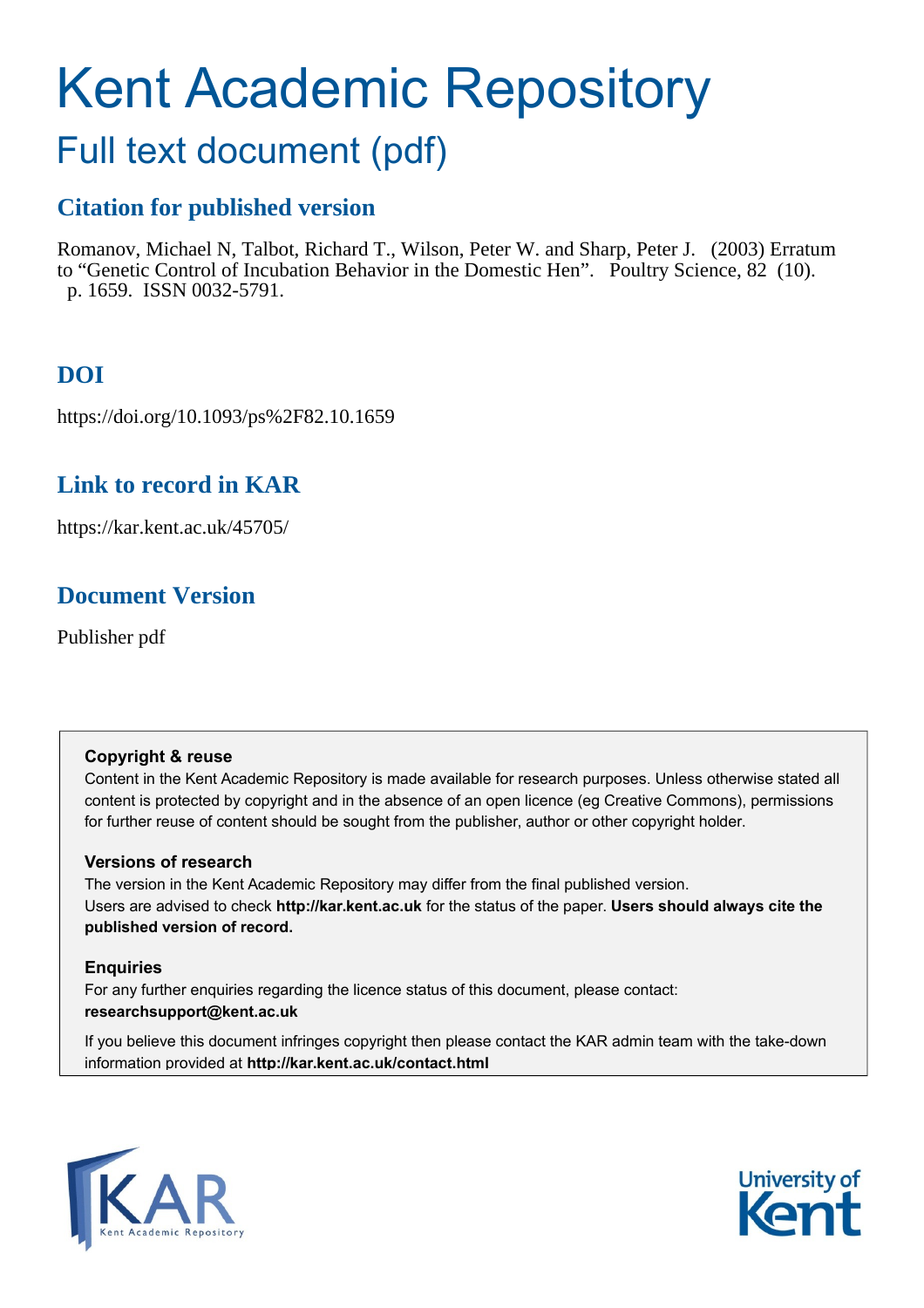# Kent Academic Repository

## Full text document (pdf)

## **Citation for published version**

Romanov, Michael N, Talbot, Richard T., Wilson, Peter W. and Sharp, Peter J. (2003) Erratum to "Genetic Control of Incubation Behavior in the Domestic Hen". Poultry Science, 82 (10). p. 1659. ISSN 0032-5791.

## **DOI**

https://doi.org/10.1093/ps%2F82.10.1659

## **Link to record in KAR**

https://kar.kent.ac.uk/45705/

## **Document Version**

Publisher pdf

#### **Copyright & reuse**

Content in the Kent Academic Repository is made available for research purposes. Unless otherwise stated all content is protected by copyright and in the absence of an open licence (eg Creative Commons), permissions for further reuse of content should be sought from the publisher, author or other copyright holder.

#### **Versions of research**

The version in the Kent Academic Repository may differ from the final published version. Users are advised to check **http://kar.kent.ac.uk** for the status of the paper. **Users should always cite the published version of record.**

#### **Enquiries**

For any further enquiries regarding the licence status of this document, please contact: **researchsupport@kent.ac.uk**

If you believe this document infringes copyright then please contact the KAR admin team with the take-down information provided at **http://kar.kent.ac.uk/contact.html**